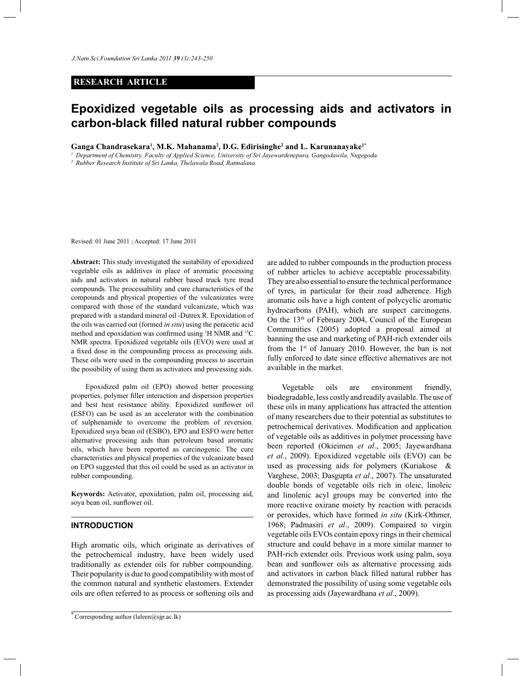# **RESEARCH ARTICLE**

# **Epoxidized vegetable oils as processing aids and activators in carbon-black filled natural rubber compounds**

**Ganga Chandrasekara<sup>1</sup> , M.K. Mahanama<sup>2</sup> , D.G. Edirisinghe<sup>2</sup> and L. Karunanayake1\***

*<sup>1</sup>Department of Chemistry, Faculty of Applied Science, University of Sri Jayewardenepura, Gangodawila, Nugegoda.*

*2 Rubber Research Institute of Sri Lanka, Thelawala Road, Ratmalana.*

Revised: 01 June 2011 ; Accepted: 17 June 2011

**Abstract:** This study investigated the suitability of epoxidized vegetable oils as additives in place of aromatic processing aids and activators in natural rubber based truck tyre tread compounds. The processability and cure characteristics of the compounds and physical properties of the vulcanizates were compared with those of the standard vulcanizate, which was prepared with a standard mineral oil -Dutrex R. Epoxidation of the oils was carried out (formed *in situ*) using the peracetic acid method and epoxidation was confirmed using <sup>1</sup>H NMR and <sup>13</sup>C NMR spectra. Epoxidized vegetable oils (EVO) were used at a fixed dose in the compounding process as processing aids. These oils were used in the compounding process to ascertain the possibility of using them as activators and processing aids.

 Epoxidized palm oil (EPO) showed better processing properties, polymer filler interaction and dispersion properties and best heat resistance ability. Epoxidized sunflower oil (ESFO) can be used as an accelerator with the combination of sulphenamide to overcome the problem of reversion. Epoxidized soya bean oil (ESBO), EPO and ESFO were better alternative processing aids than petroleum based aromatic oils, which have been reported as carcinogenic. The cure characteristics and physical properties of the vulcanizate based on EPO suggested that this oil could be used as an activator in rubber compounding.

**Keywords:** Activator, epoxidation, palm oil, processing aid, soya bean oil, sunflower oil.

# **INTRODUCTION**

High aromatic oils, which originate as derivatives of the petrochemical industry, have been widely used traditionally as extender oils for rubber compounding. Their popularity is due to good compatibility with most of the common natural and synthetic elastomers. Extender oils are often referred to as process or softening oils and

are added to rubber compounds in the production process of rubber articles to achieve acceptable processability. They are also essential to ensure the technical performance of tyres, in particular for their road adherence. High aromatic oils have a high content of polycyclic aromatic hydrocarbons (PAH), which are suspect carcinogens. On the 13th of February 2004, Council of the European Communities (2005) adopted a proposal aimed at banning the use and marketing of PAH-rich extender oils from the  $1<sup>st</sup>$  of January 2010. However, the ban is not fully enforced to date since effective alternatives are not available in the market.

 Vegetable oils are environment friendly, biodegradable, less costly and readily available. The use of these oils in many applications has attracted the attention of many researchers due to their potential as substitutes to petrochemical derivatives. Modification and application of vegetable oils as additives in polymer processing have been reported (Okieimen *et al*., 2005; Jayewardhana *et al*., 2009). Epoxidized vegetable oils (EVO) can be used as processing aids for polymers (Kuriakose & Varghese, 2003; Dasgupta *et al*., 2007). The unsaturated double bonds of vegetable oils rich in oleic, linoleic and linolenic acyl groups may be converted into the more reactive oxirane moiety by reaction with peracids or peroxides, which have formed *in situ* (Kirk-Othmer, 1968; Padmasiri *et al*., 2009). Compaired to virgin vegetable oils EVOs contain epoxy rings in their chemical structure and could behave in a more similar manner to PAH-rich extender oils. Previous work using palm, soya bean and sunflower oils as alternative processing aids and activators in carbon black filled natural rubber has demonstrated the possibility of using some vegetable oils as processing aids (Jayewardhana *et al*., 2009).

<sup>\*</sup> Corresponding author (laleen@sjp.ac.lk)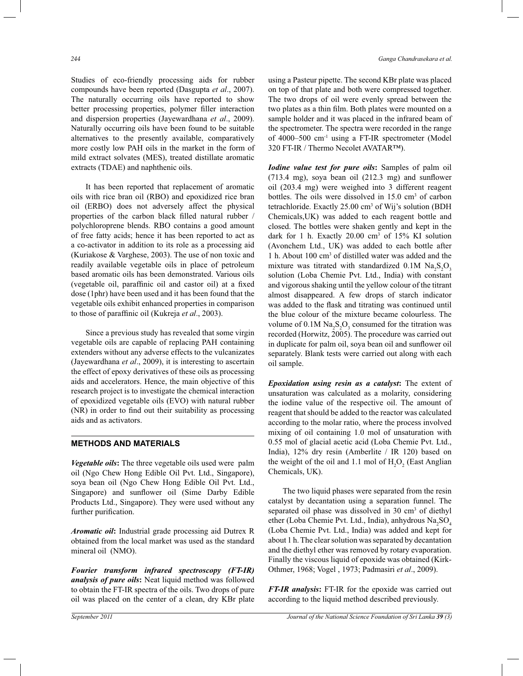Studies of eco-friendly processing aids for rubber compounds have been reported (Dasgupta *et al*., 2007). The naturally occurring oils have reported to show better processing properties, polymer filler interaction and dispersion properties (Jayewardhana *et al*., 2009). Naturally occurring oils have been found to be suitable alternatives to the presently available, comparatively more costly low PAH oils in the market in the form of mild extract solvates (MES), treated distillate aromatic extracts (TDAE) and naphthenic oils.

 It has been reported that replacement of aromatic oils with rice bran oil (RBO) and epoxidized rice bran oil (ERBO) does not adversely affect the physical properties of the carbon black filled natural rubber / polychloroprene blends. RBO contains a good amount of free fatty acids; hence it has been reported to act as a co-activator in addition to its role as a processing aid (Kuriakose & Varghese, 2003). The use of non toxic and readily available vegetable oils in place of petroleum based aromatic oils has been demonstrated. Various oils (vegetable oil, paraffinic oil and castor oil) at a fixed dose (1phr) have been used and it has been found that the vegetable oils exhibit enhanced properties in comparison to those of paraffinic oil (Kukreja *et al*., 2003).

 Since a previous study has revealed that some virgin vegetable oils are capable of replacing PAH containing extenders without any adverse effects to the vulcanizates (Jayewardhana *et al*., 2009), it is interesting to ascertain the effect of epoxy derivatives of these oils as processing aids and accelerators. Hence, the main objective of this research project is to investigate the chemical interaction of epoxidized vegetable oils (EVO) with natural rubber (NR) in order to find out their suitability as processing aids and as activators.

# **METHODS AND MATERIALS**

*Vegetable oils***:** The three vegetable oils used were palm oil (Ngo Chew Hong Edible Oil Pvt. Ltd., Singapore), soya bean oil (Ngo Chew Hong Edible Oil Pvt. Ltd., Singapore) and sunflower oil (Sime Darby Edible Products Ltd., Singapore). They were used without any further purification.

*Aromatic oil***:** Industrial grade processing aid Dutrex R obtained from the local market was used as the standard mineral oil (NMO).

*Fourier transform infrared spectroscopy (FT-IR) analysis of pure oils***:** Neat liquid method was followed to obtain the FT-IR spectra of the oils. Two drops of pure oil was placed on the center of a clean, dry KBr plate

using a Pasteur pipette. The second KBr plate was placed on top of that plate and both were compressed together. The two drops of oil were evenly spread between the two plates as a thin film. Both plates were mounted on a sample holder and it was placed in the infrared beam of the spectrometer. The spectra were recorded in the range of 4000–500 cm-1 using a FT-IR spectrometer (Model 320 FT-IR / Thermo Necolet AVATAR™).

*Iodine value test for pure oils***:** Samples of palm oil (713.4 mg), soya bean oil (212.3 mg) and sunflower oil (203.4 mg) were weighed into 3 different reagent bottles. The oils were dissolved in 15.0 cm<sup>3</sup> of carbon tetrachloride. Exactly 25.00 cm<sup>3</sup> of Wij's solution (BDH Chemicals,UK) was added to each reagent bottle and closed. The bottles were shaken gently and kept in the dark for 1 h. Exactly 20.00 cm<sup>3</sup> of 15% KI solution (Avonchem Ltd., UK) was added to each bottle after 1 h. About 100 cm<sup>3</sup> of distilled water was added and the mixture was titrated with standardized  $0.1M$   $Na<sub>2</sub>S<sub>2</sub>O<sub>3</sub>$ solution (Loba Chemie Pvt. Ltd., India) with constant and vigorous shaking until the yellow colour of the titrant almost disappeared. A few drops of starch indicator was added to the flask and titrating was continued until the blue colour of the mixture became colourless. The volume of  $0.1M$   $Na<sub>2</sub>S<sub>2</sub>O<sub>3</sub>$  consumed for the titration was recorded (Horwitz, 2005). The procedure was carried out in duplicate for palm oil, soya bean oil and sunflower oil separately. Blank tests were carried out along with each oil sample.

*Epoxidation using resin as a catalyst***:** The extent of unsaturation was calculated as a molarity, considering the iodine value of the respective oil. The amount of reagent that should be added to the reactor was calculated according to the molar ratio, where the process involved mixing of oil containing 1.0 mol of unsaturation with 0.55 mol of glacial acetic acid (Loba Chemie Pvt. Ltd., India), 12% dry resin (Amberlite / IR 120) based on the weight of the oil and 1.1 mol of  $H_2O_2$  (East Anglian Chemicals, UK).

 The two liquid phases were separated from the resin catalyst by decantation using a separation funnel. The separated oil phase was dissolved in 30 cm<sup>3</sup> of diethyl ether (Loba Chemie Pvt. Ltd., India), anhydrous Na<sub>2</sub>SO<sub>4</sub> (Loba Chemie Pvt. Ltd., India) was added and kept for about 1 h. The clear solution was separated by decantation and the diethyl ether was removed by rotary evaporation. Finally the viscous liquid of epoxide was obtained (Kirk-Othmer, 1968; Vogel , 1973; Padmasiri *et al*., 2009).

*FT-IR analysis***:** FT-IR for the epoxide was carried out according to the liquid method described previously.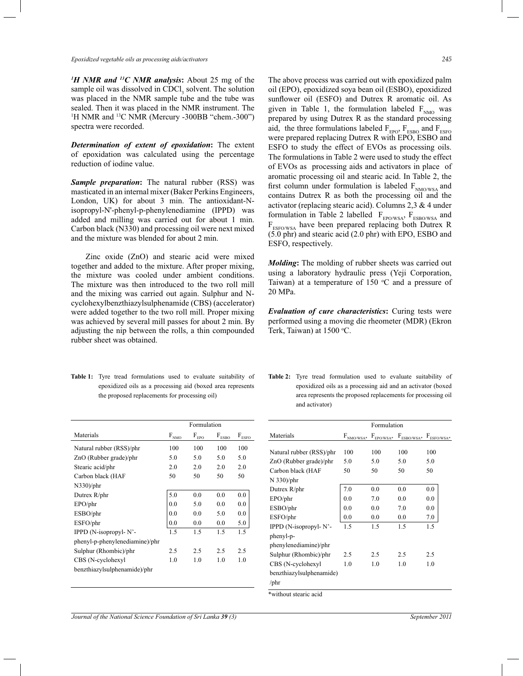*Epoxidized vegetable oils as processing aids/activators 245*

*<sup>1</sup>H NMR and <sup>13</sup>C NMR analysis***:** About 25 mg of the sample oil was dissolved in CDCl<sub>3</sub> solvent. The solution was placed in the NMR sample tube and the tube was sealed. Then it was placed in the NMR instrument. The <sup>1</sup>H NMR and <sup>13</sup>C NMR (Mercury -300BB "chem.-300") spectra were recorded.

*Determination of extent of epoxidation***:** The extent of epoxidation was calculated using the percentage reduction of iodine value.

*Sample preparation***:** The natural rubber (RSS) was masticated in an internal mixer (Baker Perkins Engineers, London, UK) for about 3 min. The antioxidant-Nisopropyl-N'-phenyl-p-phenylenediamine (IPPD) was added and milling was carried out for about 1 min. Carbon black (N330) and processing oil were next mixed and the mixture was blended for about 2 min.

 Zinc oxide (ZnO) and stearic acid were mixed together and added to the mixture. After proper mixing, the mixture was cooled under ambient conditions. The mixture was then introduced to the two roll mill and the mixing was carried out again. Sulphur and Ncyclohexylbenzthiazylsulphenamide (CBS) (accelerator) were added together to the two roll mill. Proper mixing was achieved by several mill passes for about 2 min. By adjusting the nip between the rolls, a thin compounded rubber sheet was obtained.

The above process was carried out with epoxidized palm oil (EPO), epoxidized soya bean oil (ESBO), epoxidized sunflower oil (ESFO) and Dutrex R aromatic oil. As given in Table 1, the formulation labeled  $F_{NMO}$  was prepared by using Dutrex R as the standard processing aid, the three formulations labeled  $F_{EPO}$ ,  $F_{ESPO}$  and  $F_{ESPO}$ were prepared replacing Dutrex R with EPO, ESBO and ESFO to study the effect of EVOs as processing oils. The formulations in Table 2 were used to study the effect of EVOs as processing aids and activators in place of aromatic processing oil and stearic acid. In Table 2, the first column under formulation is labeled  $F_{NMO/WSA}$  and contains Dutrex R as both the processing oil and the activator (replacing stearic acid). Columns 2,3 & 4 under formulation in Table 2 labelled  $F_{EPO/WSA}$ ,  $F_{ESBO/WSA}$  and F<sub>ESFO/WSA</sub> have been prepared replacing both Dutrex R (5.0 phr) and stearic acid (2.0 phr) with EPO, ESBO and ESFO, respectively.

*Molding***:** The molding of rubber sheets was carried out using a laboratory hydraulic press (Yeji Corporation, Taiwan) at a temperature of  $150^{\circ}$ C and a pressure of 20 MPa.

*Evaluation of cure characteristics***:** Curing tests were performed using a moving die rheometer (MDR) (Ekron Terk, Taiwan) at  $1500$  °C.

**Table 1:** Tyre tread formulations used to evaluate suitability of epoxidized oils as a processing aid (boxed area represents the proposed replacements for processing oil)

|                                                              |                | <b>Table 2:</b> Tyre tread formulation used to evaluate suitability of |  |  |  |  |  |
|--------------------------------------------------------------|----------------|------------------------------------------------------------------------|--|--|--|--|--|
|                                                              |                | epoxidized oils as a processing aid and an activator (boxed            |  |  |  |  |  |
| area represents the proposed replacements for processing oil |                |                                                                        |  |  |  |  |  |
|                                                              | and activator) |                                                                        |  |  |  |  |  |

|                                | Formulation               |                                |                            |                       |  |
|--------------------------------|---------------------------|--------------------------------|----------------------------|-----------------------|--|
| Materials                      | $\textbf{F}_{\text{NMO}}$ | $\mathbf{F}_{\rm {\tiny EPO}}$ | $\mathbf{F}_{\text{ESBO}}$ | $\text{F}_{\rm ESEO}$ |  |
| Natural rubber (RSS)/phr       | 100                       | 100                            | 100                        | 100                   |  |
| $ZnO$ (Rubber grade)/phr       | 5.0                       | 5.0                            | 5.0                        | 5.0                   |  |
| Stearic acid/phr               | 2.0                       | 2.0                            | 2.0                        | 2.0                   |  |
| Carbon black (HAF              | 50                        | 50                             | 50                         | 50                    |  |
| $N330$ /phr                    |                           |                                |                            |                       |  |
| Dutrex R/phr                   | 5.0                       | 0.0                            | 0.0                        | 0.0                   |  |
| EPO/phr                        | 0.0                       | 5.0                            | 0.0                        | 0.0                   |  |
| ESBO/phr                       | 0.0                       | 0.0                            | 5.0                        | 0.0                   |  |
| ESFO/phr                       | 0.0                       | 0.0                            | 0.0                        | 5.0                   |  |
| IPPD (N-isopropyl-N'-          | 1.5                       | 1.5                            | 1.5                        | 1.5                   |  |
| phenyl-p-phenylenediamine)/phr |                           |                                |                            |                       |  |
| Sulphur (Rhombic)/phr          | 2.5                       | 2.5                            | 2.5                        | 2.5                   |  |
| CBS (N-cyclohexyl              | 1.0                       | 1.0                            | 1.0                        | 1.0                   |  |
| benzthiazylsulphenamide)/phr   |                           |                                |                            |                       |  |
|                                |                           |                                |                            |                       |  |

|                          |     | Formulation |                                                               |     |
|--------------------------|-----|-------------|---------------------------------------------------------------|-----|
| Materials                |     |             | $F_{NMO/WSA*}$ $F_{EPO/WSA*}$ $F_{ESBO/WSA*}$ $F_{ESFO/WSA*}$ |     |
| Natural rubber (RSS)/phr | 100 | 100         | 100                                                           | 100 |
| ZnO (Rubber grade)/phr   | 5.0 | 5.0         | 5.0                                                           | 5.0 |
| Carbon black (HAF        | 50  | 50          | 50                                                            | 50  |
| $N$ 330)/phr             |     |             |                                                               |     |
| Dutrex R/phr             | 7.0 | 0.0         | 0.0                                                           | 0.0 |
| EPO/phr                  | 0.0 | 7.0         | 0.0                                                           | 0.0 |
| ESBO/phr                 | 0.0 | 0.0         | 7.0                                                           | 0.0 |
| ESFO/phr                 | 0.0 | 0.0         | 0.0                                                           | 7.0 |
| IPPD (N-isopropyl-N'-    | 1.5 | 1.5         | 1.5                                                           | 1.5 |
| phenyl-p-                |     |             |                                                               |     |
| phenylenediamine)/phr    |     |             |                                                               |     |
| Sulphur (Rhombic)/phr    | 2.5 | 2.5         | 2.5                                                           | 2.5 |
| CBS (N-cyclohexyl        | 1.0 | 1.0         | 1.0                                                           | 1.0 |
| benzthiazylsulphenamide) |     |             |                                                               |     |
| /phr                     |     |             |                                                               |     |
| *without stearic acid    |     |             |                                                               |     |

*Journal of the National Science Foundation of Sri Lanka 39 (3)* September 2011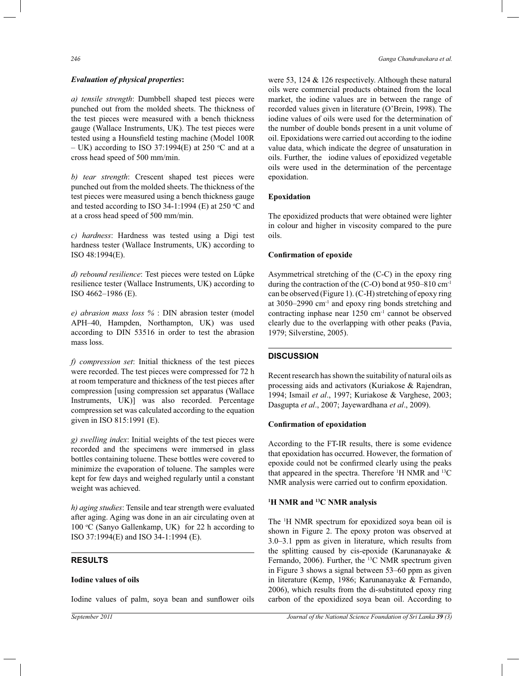#### *Evaluation of physical properties***:**

*a) tensile strength*: Dumbbell shaped test pieces were punched out from the molded sheets. The thickness of the test pieces were measured with a bench thickness gauge (Wallace Instruments, UK). The test pieces were tested using a Hounsfield testing machine (Model 100R – UK) according to ISO 37:1994(E) at 250 °C and at a cross head speed of 500 mm/min.

*b) tear strength*: Crescent shaped test pieces were punched out from the molded sheets. The thickness of the test pieces were measured using a bench thickness gauge and tested according to ISO 34-1:1994 (E) at 250  $°C$  and at a cross head speed of 500 mm/min.

*c) hardness*: Hardness was tested using a Digi test hardness tester (Wallace Instruments, UK) according to ISO 48:1994(E).

*d) rebound resilience*: Test pieces were tested on Lűpke resilience tester (Wallace Instruments, UK) according to ISO 4662–1986 (E).

*e) abrasion mass loss %* : DIN abrasion tester (model APH–40, Hampden, Northampton, UK) was used according to DIN 53516 in order to test the abrasion mass loss.

*f) compression set*: Initial thickness of the test pieces were recorded. The test pieces were compressed for 72 h at room temperature and thickness of the test pieces after compression [using compression set apparatus (Wallace Instruments, UK)] was also recorded. Percentage compression set was calculated according to the equation given in ISO 815:1991 (E).

*g) swelling index*: Initial weights of the test pieces were recorded and the specimens were immersed in glass bottles containing toluene. These bottles were covered to minimize the evaporation of toluene. The samples were kept for few days and weighed regularly until a constant weight was achieved.

*h) aging studies*: Tensile and tear strength were evaluated after aging. Aging was done in an air circulating oven at 100  $\degree$ C (Sanyo Gallenkamp, UK) for 22 h according to ISO 37:1994(E) and ISO 34-1:1994 (E).

#### **RESULTS**

### **Iodine values of oils**

Iodine values of palm, soya bean and sunflower oils

were 53, 124 & 126 respectively. Although these natural oils were commercial products obtained from the local market, the iodine values are in between the range of recorded values given in literature (O'Brein, 1998). The iodine values of oils were used for the determination of the number of double bonds present in a unit volume of oil. Epoxidations were carried out according to the iodine value data, which indicate the degree of unsaturation in oils. Further, the iodine values of epoxidized vegetable oils were used in the determination of the percentage epoxidation.

## **Epoxidation**

The epoxidized products that were obtained were lighter in colour and higher in viscosity compared to the pure oils.

## **Confirmation of epoxide**

Asymmetrical stretching of the (C-C) in the epoxy ring during the contraction of the (C-O) bond at 950–810 cm-1 can be observed (Figure 1). (C-H) stretching of epoxy ring at  $3050-2990$  cm<sup>-1</sup> and epoxy ring bonds stretching and contracting inphase near 1250 cm<sup>-1</sup> cannot be observed clearly due to the overlapping with other peaks (Pavia, 1979; Silverstine, 2005).

# **DISCUSSION**

Recent research has shown the suitability of natural oils as processing aids and activators (Kuriakose & Rajendran, 1994; Ismail *et al*., 1997; Kuriakose & Varghese, 2003; Dasgupta *et al*., 2007; Jayewardhana *et al*., 2009).

#### **Confirmation of epoxidation**

According to the FT-IR results, there is some evidence that epoxidation has occurred. However, the formation of epoxide could not be confirmed clearly using the peaks that appeared in the spectra. Therefore <sup>1</sup>H NMR and <sup>13</sup>C NMR analysis were carried out to confirm epoxidation.

# **<sup>1</sup>H NMR and <sup>13</sup>C NMR analysis**

The <sup>1</sup>H NMR spectrum for epoxidized soya bean oil is shown in Figure 2. The epoxy proton was observed at 3.0–3.1 ppm as given in literature, which results from the splitting caused by cis-epoxide (Karunanayake & Fernando, 2006). Further, the <sup>13</sup>C NMR spectrum given in Figure 3 shows a signal between 53–60 ppm as given in literature (Kemp, 1986; Karunanayake & Fernando, 2006), which results from the di-substituted epoxy ring carbon of the epoxidized soya bean oil. According to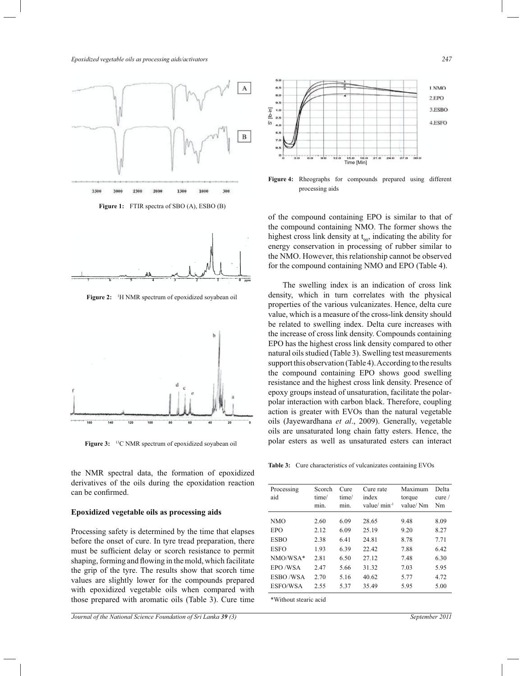*Epoxidized vegetable oils as processing aids/activators 247*



**Figure 1:** FTIR spectra of SBO (A), ESBO (B)



**Figure 2:** <sup>1</sup>H NMR spectrum of epoxidized soyabean oil



Figure 3: <sup>13</sup>C NMR spectrum of epoxidized soyabean oil

the NMR spectral data, the formation of epoxidized derivatives of the oils during the epoxidation reaction can be confirmed.

## **Epoxidized vegetable oils as processing aids**

Processing safety is determined by the time that elapses before the onset of cure. In tyre tread preparation, there must be sufficient delay or scorch resistance to permit shaping, forming and flowing in the mold, which facilitate the grip of the tyre. The results show that scorch time values are slightly lower for the compounds prepared with epoxidized vegetable oils when compared with those prepared with aromatic oils (Table 3). Cure time



**Figure 4:** Rheographs for compounds prepared using different processing aids

of the compound containing EPO is similar to that of the compound containing NMO. The former shows the highest cross link density at  $t_{90}$ , indicating the ability for energy conservation in processing of rubber similar to the NMO. However, this relationship cannot be observed for the compound containing NMO and EPO (Table 4).

 The swelling index is an indication of cross link density, which in turn correlates with the physical properties of the various vulcanizates. Hence, delta cure value, which is a measure of the cross-link density should be related to swelling index. Delta cure increases with the increase of cross link density. Compounds containing EPO has the highest cross link density compared to other natural oils studied (Table 3). Swelling test measurements support this observation (Table 4). According to the results the compound containing EPO shows good swelling resistance and the highest cross link density. Presence of epoxy groups instead of unsaturation, facilitate the polarpolar interaction with carbon black. Therefore, coupling action is greater with EVOs than the natural vegetable oils (Jayewardhana *et al*., 2009). Generally, vegetable oils are unsaturated long chain fatty esters. Hence, the polar esters as well as unsaturated esters can interact

**Table 3:** Cure characteristics of vulcanizates containing EVOs

| Processing<br>aid | Scorch<br>time/<br>min. | Cure<br>time/<br>min. | Cure rate<br>index<br>value/ $min^{-1}$ | Maximum<br>torque<br>value/Nm | Delta<br>curve /<br>Nm |
|-------------------|-------------------------|-----------------------|-----------------------------------------|-------------------------------|------------------------|
| <b>NMO</b>        | 2.60                    | 6.09                  | 28.65                                   | 9.48                          | 8.09                   |
| EPO               | 2.12                    | 6.09                  | 25.19                                   | 9.20                          | 8.27                   |
| <b>ESBO</b>       | 2.38                    | 641                   | 24.81                                   | 8.78                          | 7.71                   |
| <b>ESFO</b>       | 1.93                    | 6.39                  | 22.42                                   | 7.88                          | 6.42                   |
| $NMO/WSA*$        | 2.81                    | 6.50                  | 27.12                                   | 7.48                          | 6.30                   |
| EPO/WSA           | 2.47                    | 5.66                  | 31.32                                   | 7.03                          | 5.95                   |
| ESBO/WSA          | 2.70                    | 5.16                  | 40.62                                   | 5.77                          | 4.72                   |
| ESFO/WSA          | 2.55                    | 5.37                  | 35.49                                   | 5.95                          | 5.00                   |
|                   |                         |                       |                                         |                               |                        |

\*Without stearic acid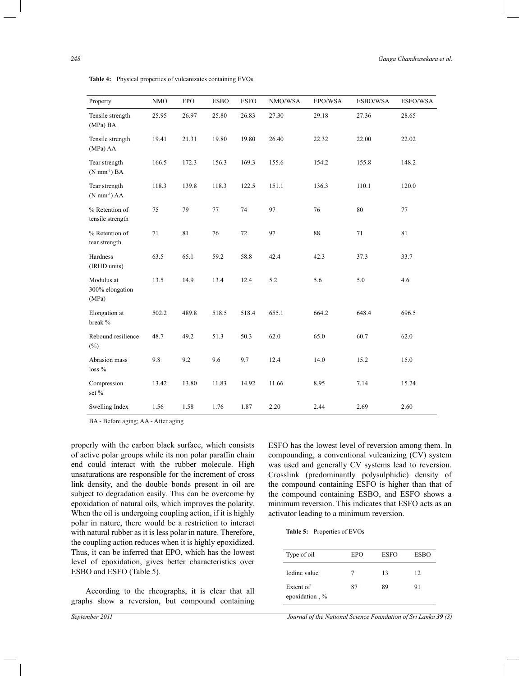| Property                                  | <b>NMO</b> | <b>EPO</b> | <b>ESBO</b> | <b>ESFO</b> | NMO/WSA | EPO/WSA | ESBO/WSA | ESFO/WSA |
|-------------------------------------------|------------|------------|-------------|-------------|---------|---------|----------|----------|
| Tensile strength<br>(MPa) BA              | 25.95      | 26.97      | 25.80       | 26.83       | 27.30   | 29.18   | 27.36    | 28.65    |
| Tensile strength<br>(MPa) AA              | 19.41      | 21.31      | 19.80       | 19.80       | 26.40   | 22.32   | 22.00    | 22.02    |
| Tear strength<br>$(N \text{ mm}^{-1})$ BA | 166.5      | 172.3      | 156.3       | 169.3       | 155.6   | 154.2   | 155.8    | 148.2    |
| Tear strength<br>$(N \text{ mm}^{-1})$ AA | 118.3      | 139.8      | 118.3       | 122.5       | 151.1   | 136.3   | 110.1    | 120.0    |
| % Retention of<br>tensile strength        | 75         | 79         | 77          | 74          | 97      | 76      | 80       | 77       |
| % Retention of<br>tear strength           | 71         | 81         | 76          | 72          | 97      | 88      | 71       | 81       |
| Hardness<br>(IRHD units)                  | 63.5       | 65.1       | 59.2        | 58.8        | 42.4    | 42.3    | 37.3     | 33.7     |
| Modulus at<br>300% elongation<br>(MPa)    | 13.5       | 14.9       | 13.4        | 12.4        | 5.2     | 5.6     | 5.0      | 4.6      |
| Elongation at<br>break %                  | 502.2      | 489.8      | 518.5       | 518.4       | 655.1   | 664.2   | 648.4    | 696.5    |
| Rebound resilience<br>$(\%)$              | 48.7       | 49.2       | 51.3        | 50.3        | 62.0    | 65.0    | 60.7     | 62.0     |
| Abrasion mass<br>$loss\%$                 | 9.8        | 9.2        | 9.6         | 9.7         | 12.4    | 14.0    | 15.2     | 15.0     |
| Compression<br>set %                      | 13.42      | 13.80      | 11.83       | 14.92       | 11.66   | 8.95    | 7.14     | 15.24    |
| Swelling Index                            | 1.56       | 1.58       | 1.76        | 1.87        | 2.20    | 2.44    | 2.69     | 2.60     |

**Table 4:** Physical properties of vulcanizates containing EVOs

BA - Before aging; AA - After aging

properly with the carbon black surface, which consists of active polar groups while its non polar paraffin chain end could interact with the rubber molecule. High unsaturations are responsible for the increment of cross link density, and the double bonds present in oil are subject to degradation easily. This can be overcome by epoxidation of natural oils, which improves the polarity. When the oil is undergoing coupling action, if it is highly polar in nature, there would be a restriction to interact with natural rubber as it is less polar in nature. Therefore, the coupling action reduces when it is highly epoxidized. Thus, it can be inferred that EPO, which has the lowest level of epoxidation, gives better characteristics over ESBO and ESFO (Table 5).

 According to the rheographs, it is clear that all graphs show a reversion, but compound containing ESFO has the lowest level of reversion among them. In compounding, a conventional vulcanizing (CV) system was used and generally CV systems lead to reversion. Crosslink (predominantly polysulphidic) density of the compound containing ESFO is higher than that of the compound containing ESBO, and ESFO shows a minimum reversion. This indicates that ESFO acts as an activator leading to a minimum reversion.

| Type of oil                 | EPO | <b>ESFO</b> | <b>ESBO</b> |  |
|-----------------------------|-----|-------------|-------------|--|
| Iodine value                |     | 13          | 12          |  |
| Extent of<br>epoxidation, % | 87  | 89          | 91          |  |

*September 2011 Journal of the National Science Foundation of Sri Lanka 39 (3)*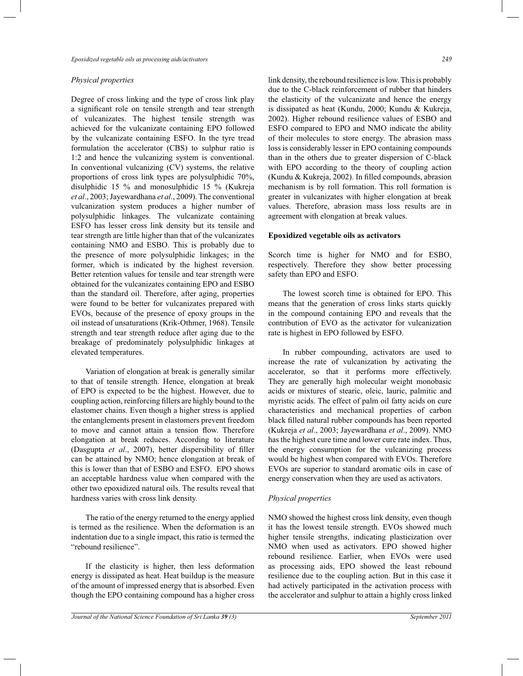#### *Physical properties*

Degree of cross linking and the type of cross link play a significant role on tensile strength and tear strength of vulcanizates. The highest tensile strength was achieved for the vulcanizate containing EPO followed by the vulcanizate containing ESFO. In the tyre tread formulation the accelerator (CBS) to sulphur ratio is 1:2 and hence the vulcanizing system is conventional. In conventional vulcanizing (CV) systems, the relative proportions of cross link types are polysulphidic 70%, disulphidic 15 % and monosulphidic 15 % (Kukreja *et al*., 2003; Jayewardhana *et al*., 2009). The conventional vulcanization system produces a higher number of polysulphidic linkages. The vulcanizate containing ESFO has lesser cross link density but its tensile and tear strength are little higher than that of the vulcanizates containing NMO and ESBO. This is probably due to the presence of more polysulphidic linkages; in the former, which is indicated by the highest reversion. Better retention values for tensile and tear strength were obtained for the vulcanizates containing EPO and ESBO than the standard oil. Therefore, after aging, properties were found to be better for vulcanizates prepared with EVOs, because of the presence of epoxy groups in the oil instead of unsaturations (Krik-Othmer, 1968). Tensile strength and tear strength reduce after aging due to the breakage of predominately polysulphidic linkages at elevated temperatures.

 Variation of elongation at break is generally similar to that of tensile strength. Hence, elongation at break of EPO is expected to be the highest. However, due to coupling action, reinforcing fillers are highly bound to the elastomer chains. Even though a higher stress is applied the entanglements present in elastomers prevent freedom to move and cannot attain a tension flow. Therefore elongation at break reduces. According to literature (Dasgupta *et al*., 2007), better dispersibility of filler can be attained by NMO; hence elongation at break of this is lower than that of ESBO and ESFO. EPO shows an acceptable hardness value when compared with the other two epoxidized natural oils. The results reveal that hardness varies with cross link density.

 The ratio of the energy returned to the energy applied is termed as the resilience. When the deformation is an indentation due to a single impact, this ratio is termed the "rebound resilience".

 If the elasticity is higher, then less deformation energy is dissipated as heat. Heat buildup is the measure of the amount of impressed energy that is absorbed. Even though the EPO containing compound has a higher cross

link density, the rebound resilience is low. This is probably due to the C-black reinforcement of rubber that hinders the elasticity of the vulcanizate and hence the energy is dissipated as heat (Kundu, 2000; Kundu & Kukreja, 2002). Higher rebound resilience values of ESBO and ESFO compared to EPO and NMO indicate the ability of their molecules to store energy. The abrasion mass loss is considerably lesser in EPO containing compounds than in the others due to greater dispersion of C-black with EPO according to the theory of coupling action (Kundu & Kukreja, 2002). In filled compounds, abrasion mechanism is by roll formation. This roll formation is greater in vulcanizates with higher elongation at break values. Therefore, abrasion mass loss results are in agreement with elongation at break values.

#### **Epoxidized vegetable oils as activators**

Scorch time is higher for NMO and for ESBO, respectively. Therefore they show better processing safety than EPO and ESFO.

 The lowest scorch time is obtained for EPO. This means that the generation of cross links starts quickly in the compound containing EPO and reveals that the contribution of EVO as the activator for vulcanization rate is highest in EPO followed by ESFO.

 In rubber compounding, activators are used to increase the rate of vulcanization by activating the accelerator, so that it performs more effectively. They are generally high molecular weight monobasic acids or mixtures of stearic, oleic, lauric, palmitic and myristic acids. The effect of palm oil fatty acids on cure characteristics and mechanical properties of carbon black filled natural rubber compounds has been reported (Kukreja *et al*., 2003; Jayewardhana *et al*., 2009). NMO has the highest cure time and lower cure rate index. Thus, the energy consumption for the vulcanizing process would be highest when compared with EVOs. Therefore EVOs are superior to standard aromatic oils in case of energy conservation when they are used as activators.

### *Physical properties*

NMO showed the highest cross link density, even though it has the lowest tensile strength. EVOs showed much higher tensile strengths, indicating plasticization over NMO when used as activators. EPO showed higher rebound resilience. Earlier, when EVOs were used as processing aids, EPO showed the least rebound resilience due to the coupling action. But in this case it had actively participated in the activation process with the accelerator and sulphur to attain a highly cross linked